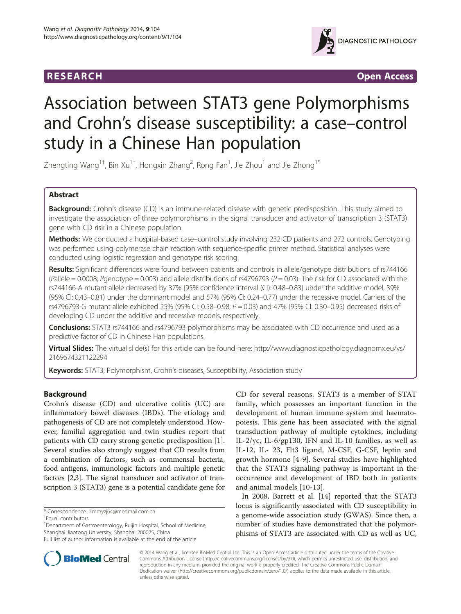

**RESEARCH RESEARCH** *CHECKER CHECKER CONTROLLER* 

# Association between STAT3 gene Polymorphisms and Crohn's disease susceptibility: a case–control study in a Chinese Han population

Zhengting Wang<sup>1†</sup>, Bin Xu<sup>1†</sup>, Hongxin Zhang<sup>2</sup>, Rong Fan<sup>1</sup>, Jie Zhou<sup>1</sup> and Jie Zhong<sup>1\*</sup>

# Abstract

Background: Crohn's disease (CD) is an immune-related disease with genetic predisposition. This study aimed to investigate the association of three polymorphisms in the signal transducer and activator of transcription 3 (STAT3) gene with CD risk in a Chinese population.

Methods: We conducted a hospital-based case–control study involving 232 CD patients and 272 controls. Genotyping was performed using polymerase chain reaction with sequence-specific primer method. Statistical analyses were conducted using logistic regression and genotype risk scoring.

Results: Significant differences were found between patients and controls in allele/genotype distributions of rs744166 (Pallele = 0.0008; Pgenotype = 0.003) and allele distributions of rs4796793 ( $P = 0.03$ ). The risk for CD associated with the rs744166-A mutant allele decreased by 37% [95% confidence interval (CI): 0.48–0.83] under the additive model, 39% (95% CI: 0.43–0.81) under the dominant model and 57% (95% CI: 0.24–0.77) under the recessive model. Carriers of the rs4796793-G mutant allele exhibited 25% (95% CI: 0.58–0.98;  $P = 0.03$ ) and 47% (95% CI: 0.30–0.95) decreased risks of developing CD under the additive and recessive models, respectively.

**Conclusions:** STAT3 rs744166 and rs4796793 polymorphisms may be associated with CD occurrence and used as a predictive factor of CD in Chinese Han populations.

Virtual Slides: The virtual slide(s) for this article can be found here: [http://www.diagnosticpathology.diagnomx.eu/vs/](http://www.diagnosticpathology.diagnomx.eu/vs/2169674321122294) [2169674321122294](http://www.diagnosticpathology.diagnomx.eu/vs/2169674321122294)

Keywords: STAT3, Polymorphism, Crohn's diseases, Susceptibility, Association study

# Background

Crohn's disease (CD) and ulcerative colitis (UC) are inflammatory bowel diseases (IBDs). The etiology and pathogenesis of CD are not completely understood. However, familial aggregation and twin studies report that patients with CD carry strong genetic predisposition [\[1](#page-4-0)]. Several studies also strongly suggest that CD results from a combination of factors, such as commensal bacteria, food antigens, immunologic factors and multiple genetic factors [\[2,3\]](#page-4-0). The signal transducer and activator of transcription 3 (STAT3) gene is a potential candidate gene for

\* Correspondence: [Jimmyzj64@medmail.com.cn](mailto:Jimmyzj64@medmail.com.cn) †

Equal contributors

<sup>1</sup>Department of Gastroenterology, Ruijin Hospital, School of Medicine, Shanghai Jiaotong University, Shanghai 200025, China

CD for several reasons. STAT3 is a member of STAT family, which possesses an important function in the development of human immune system and haematopoiesis. This gene has been associated with the signal transduction pathway of multiple cytokines, including IL-2/γc, IL-6/gp130, IFN and IL-10 families, as well as IL-12, IL- 23, Flt3 ligand, M-CSF, G-CSF, leptin and growth hormone [[4-9\]](#page-4-0). Several studies have highlighted that the STAT3 signaling pathway is important in the occurrence and development of IBD both in patients and animal models [\[10-13](#page-4-0)].

In 2008, Barrett et al. [[14](#page-4-0)] reported that the STAT3 locus is significantly associated with CD susceptibility in a genome-wide association study (GWAS). Since then, a number of studies have demonstrated that the polymorphisms of STAT3 are associated with CD as well as UC,



© 2014 Wang et al.; licensee BioMed Central Ltd. This is an Open Access article distributed under the terms of the Creative Commons Attribution License [\(http://creativecommons.org/licenses/by/2.0\)](http://creativecommons.org/licenses/by/2.0), which permits unrestricted use, distribution, and reproduction in any medium, provided the original work is properly credited. The Creative Commons Public Domain Dedication waiver [\(http://creativecommons.org/publicdomain/zero/1.0/](http://creativecommons.org/publicdomain/zero/1.0/)) applies to the data made available in this article, unless otherwise stated.

Full list of author information is available at the end of the article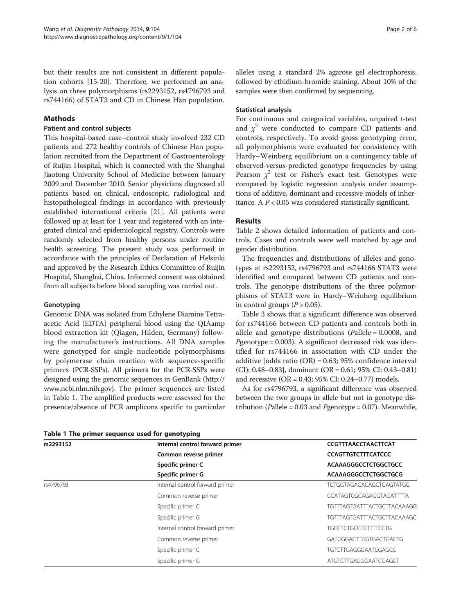but their results are not consistent in different population cohorts [[15-20\]](#page-4-0). Therefore, we performed an analysis on three polymorphisms (rs2293152, rs4796793 and rs744166) of STAT3 and CD in Chinese Han population.

# Methods

# Patient and control subjects

This hospital-based case–control study involved 232 CD patients and 272 healthy controls of Chinese Han population recruited from the Department of Gastroenterology of Ruijin Hospital, which is connected with the Shanghai Jiaotong University School of Medicine between January 2009 and December 2010. Senior physicians diagnosed all patients based on clinical, endoscopic, radiological and histopathological findings in accordance with previously established international criteria [\[21\]](#page-4-0). All patients were followed up at least for 1 year and registered with an integrated clinical and epidemiological registry. Controls were randomly selected from healthy persons under routine health screening. The present study was performed in accordance with the principles of Declaration of Helsinki and approved by the Research Ethics Committee of Ruijin Hospital, Shanghai, China. Informed consent was obtained from all subjects before blood sampling was carried out.

# **Genotyping**

Genomic DNA was isolated from Ethylene Diamine Tetraacetic Acid (EDTA) peripheral blood using the QIAamp blood extraction kit (Qiagen, Hilden, Germany) following the manufacturer's instructions. All DNA samples were genotyped for single nucleotide polymorphisms by polymerase chain reaction with sequence-specific primers (PCR-SSPs). All primers for the PCR-SSPs were designed using the genomic sequences in GenBank [\(http://](http://www.ncbi.nlm.nih.gov) [www.ncbi.nlm.nih.gov](http://www.ncbi.nlm.nih.gov)). The primer sequences are listed in Table 1. The amplified products were assessed for the presence/absence of PCR amplicons specific to particular

alleles using a standard 2% agarose gel electrophoresis, followed by ethidium-bromide staining. About 10% of the samples were then confirmed by sequencing.

# Statistical analysis

For continuous and categorical variables, unpaired t-test and  $\chi^2$  were conducted to compare CD patients and controls, respectively. To avoid gross genotyping error, all polymorphisms were evaluated for consistency with Hardy–Weinberg equilibrium on a contingency table of observed-versus-predicted genotype frequencies by using Pearson  $\chi^2$  test or Fisher's exact test. Genotypes were compared by logistic regression analysis under assumptions of additive, dominant and recessive models of inheritance. A  $P < 0.05$  was considered statistically significant.

# Results

Table [2](#page-2-0) shows detailed information of patients and controls. Cases and controls were well matched by age and gender distribution.

The frequencies and distributions of alleles and genotypes at rs2293152, rs4796793 and rs744166 STAT3 were identified and compared between CD patients and controls. The genotype distributions of the three polymorphisms of STAT3 were in Hardy–Weinberg equilibrium in control groups  $(P > 0.05)$ .

Table [3](#page-3-0) shows that a significant difference was observed for rs744166 between CD patients and controls both in allele and genotype distributions (Pallele =  $0.0008$ , and  $P$ genotype = 0.003). A significant decreased risk was identified for rs744166 in association with CD under the additive [odds ratio (OR) = 0.63; 95% confidence interval (CI): 0.48–0.83], dominant (OR = 0.61; 95% CI: 0.43–0.81) and recessive (OR = 0.43; 95% CI: 0.24–0.77) models.

As for rs4796793, a significant difference was observed between the two groups in allele but not in genotype distribution (Pallele =  $0.03$  and Pgenotype =  $0.07$ ). Meanwhile,

| rs2293152 | Internal control forward primer | CCGTTTAACCTAACTTCAT                               |  |  |  |
|-----------|---------------------------------|---------------------------------------------------|--|--|--|
|           | Common reverse primer           | <b>CCAGTTGTCTTTCATCCC</b><br>ACAAAGGGCCTCTGGCTGCC |  |  |  |
|           | Specific primer C               |                                                   |  |  |  |
|           | Specific primer G               | ACAAAGGGCCTCTGGCTGCG                              |  |  |  |
| rs4796793 | Internal control forward primer | <b>TCTGGTAGACACAGCTCAGTATGG</b>                   |  |  |  |
|           | Common reverse primer           | CCATAGTCGCAGAGGTAGATTTTA                          |  |  |  |
|           | Specific primer C               | <b>TGTTTAGTGATTTACTGCTTACAAAGG</b>                |  |  |  |
|           | Specific primer G               | <b>TGTTTAGTGATTTACTGCTTACAAAGC</b>                |  |  |  |
|           | Internal control forward primer | <b>TGCCTCTGCCTCTTTTCCTG</b>                       |  |  |  |
|           | Common reverse primer           | GATGGGACTTGGTGACTGACTG                            |  |  |  |
|           | Specific primer C               | <b>TGTCTTGAGGGAATCGAGCC</b>                       |  |  |  |
|           | Specific primer G               | ATGTCTTGAGGGAATCGAGCT                             |  |  |  |

Table 1 The primer sequence used for genotyping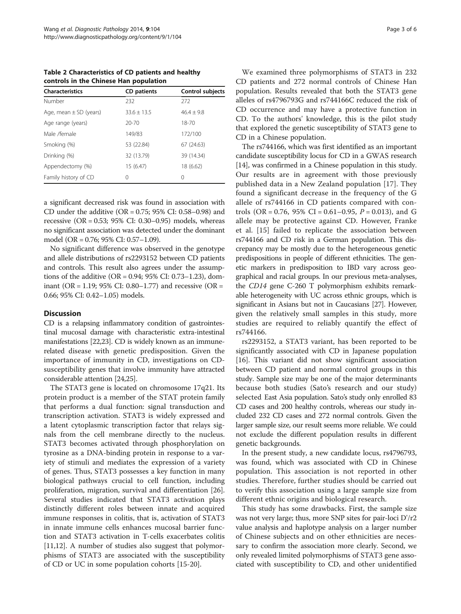<span id="page-2-0"></span>Table 2 Characteristics of CD patients and healthy controls in the Chinese Han population

| <b>Characteristics</b>     | CD patients     | <b>Control subjects</b> |
|----------------------------|-----------------|-------------------------|
| Number                     | 232             | 272                     |
| Age, mean $\pm$ SD (years) | $33.6 \pm 13.5$ | $46.4 + 9.8$            |
| Age range (years)          | $20 - 70$       | $18 - 70$               |
| Male /female               | 149/83          | 172/100                 |
| Smoking (%)                | 53 (22.84)      | 67 (24.63)              |
| Drinking (%)               | 32 (13.79)      | 39 (14.34)              |
| Appendectomy (%)           | 15 (6.47)       | 18 (6.62)               |
| Family history of CD       | 0               | 0                       |

a significant decreased risk was found in association with CD under the additive (OR = 0.75; 95% CI: 0.58–0.98) and recessive (OR = 0.53; 95% CI: 0.30–0.95) models, whereas no significant association was detected under the dominant model (OR = 0.76; 95% CI: 0.57–1.09).

No significant difference was observed in the genotype and allele distributions of rs2293152 between CD patients and controls. This result also agrees under the assumptions of the additive (OR = 0.94; 95% CI: 0.73–1.23), dominant (OR = 1.19; 95% CI: 0.80–1.77) and recessive (OR = 0.66; 95% CI: 0.42–1.05) models.

# **Discussion**

CD is a relapsing inflammatory condition of gastrointestinal mucosal damage with characteristic extra-intestinal manifestations [[22,23\]](#page-4-0). CD is widely known as an immunerelated disease with genetic predisposition. Given the importance of immunity in CD, investigations on CDsusceptibility genes that involve immunity have attracted considerable attention [\[24,](#page-4-0)[25](#page-5-0)].

The STAT3 gene is located on chromosome 17q21. Its protein product is a member of the STAT protein family that performs a dual function: signal transduction and transcription activation. STAT3 is widely expressed and a latent cytoplasmic transcription factor that relays signals from the cell membrane directly to the nucleus. STAT3 becomes activated through phosphorylation on tyrosine as a DNA-binding protein in response to a variety of stimuli and mediates the expression of a variety of genes. Thus, STAT3 possesses a key function in many biological pathways crucial to cell function, including proliferation, migration, survival and differentiation [\[26](#page-5-0)]. Several studies indicated that STAT3 activation plays distinctly different roles between innate and acquired immune responses in colitis, that is, activation of STAT3 in innate immune cells enhances mucosal barrier function and STAT3 activation in T-cells exacerbates colitis [[11,12\]](#page-4-0). A number of studies also suggest that polymorphisms of STAT3 are associated with the susceptibility of CD or UC in some population cohorts [[15-20](#page-4-0)].

We examined three polymorphisms of STAT3 in 232 CD patients and 272 normal controls of Chinese Han population. Results revealed that both the STAT3 gene alleles of rs4796793G and rs744166C reduced the risk of CD occurrence and may have a protective function in CD. To the authors' knowledge, this is the pilot study that explored the genetic susceptibility of STAT3 gene to CD in a Chinese population.

The rs744166, which was first identified as an important candidate susceptibility locus for CD in a GWAS research [[14](#page-4-0)], was confirmed in a Chinese population in this study. Our results are in agreement with those previously published data in a New Zealand population [[17\]](#page-4-0). They found a significant decrease in the frequency of the G allele of rs744166 in CD patients compared with controls (OR = 0.76, 95% CI = 0.61–0.95,  $P = 0.013$ ), and G allele may be protective against CD. However, Franke et al. [[15](#page-4-0)] failed to replicate the association between rs744166 and CD risk in a German population. This discrepancy may be mostly due to the heterogeneous genetic predispositions in people of different ethnicities. The genetic markers in predisposition to IBD vary across geographical and racial groups. In our previous meta-analyses, the CD14 gene C-260 T polymorphism exhibits remarkable heterogeneity with UC across ethnic groups, which is significant in Asians but not in Caucasians [[27](#page-5-0)]. However, given the relatively small samples in this study, more studies are required to reliably quantify the effect of rs744166.

rs2293152, a STAT3 variant, has been reported to be significantly associated with CD in Japanese population [[16\]](#page-4-0). This variant did not show significant association between CD patient and normal control groups in this study. Sample size may be one of the major determinants because both studies (Sato's research and our study) selected East Asia population. Sato's study only enrolled 83 CD cases and 200 healthy controls, whereas our study included 232 CD cases and 272 normal controls. Given the larger sample size, our result seems more reliable. We could not exclude the different population results in different genetic backgrounds.

In the present study, a new candidate locus, rs4796793, was found, which was associated with CD in Chinese population. This association is not reported in other studies. Therefore, further studies should be carried out to verify this association using a large sample size from different ethnic origins and biological research.

This study has some drawbacks. First, the sample size was not very large; thus, more SNP sites for pair-loci D'/r2 value analysis and haplotype analysis on a larger number of Chinese subjects and on other ethnicities are necessary to confirm the association more clearly. Second, we only revealed limited polymorphisms of STAT3 gene associated with susceptibility to CD, and other unidentified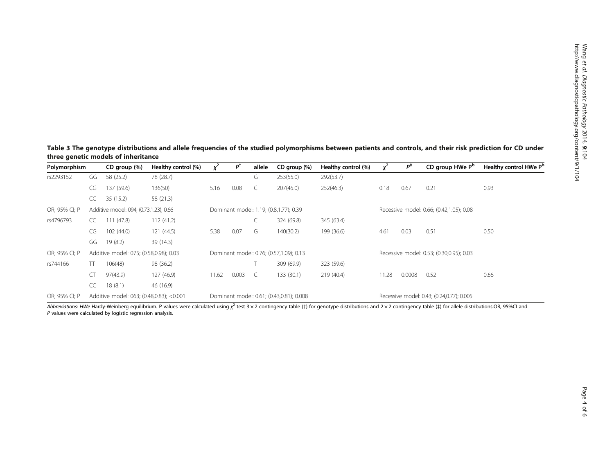<span id="page-3-0"></span>Table 3 The genotype distributions and allele frequencies of the studied polymorphisms between patients and controls, and their risk prediction for CD under three genetic models of inheritance

| Polymorphism  |                                          | CD group (%)  | Healthy control (%) | $x^2$                                   | $P^{\dagger}$ | allele | CD group (%)                             | Healthy control (%)                      |                                          | $P^{\ddagger}$ | CD group HWe P <sup>b</sup>               | Healthy control HWe P <sup>b</sup> |
|---------------|------------------------------------------|---------------|---------------------|-----------------------------------------|---------------|--------|------------------------------------------|------------------------------------------|------------------------------------------|----------------|-------------------------------------------|------------------------------------|
| rs2293152     | GG                                       | 58 (25.2)     | 78 (28.7)           |                                         |               | G      | 253(55.0)                                | 292(53.7)                                |                                          |                |                                           |                                    |
|               | CG                                       | 137 (59.6)    | 136(50)             | 5.16                                    | 0.08          | C      | 207(45.0)                                | 252(46.3)                                | 0.18                                     | 0.67           | 0.21                                      | 0.93                               |
|               | CC                                       | 35(15.2)      | 58 (21.3)           |                                         |               |        |                                          |                                          |                                          |                |                                           |                                    |
| OR; 95% CI; P | Additive model: 094; (0.73,1.23); 0.66   |               |                     | Dominant model: 1.19; (0.8,1.77); 0.39  |               |        |                                          | Recessive model: 0.66; (0.42,1.05); 0.08 |                                          |                |                                           |                                    |
| rs4796793     | CC.                                      | (47.8)<br>111 | 112(41.2)           |                                         |               | └      | 324 (69.8)                               | 345 (63.4)                               |                                          |                |                                           |                                    |
|               | CG                                       | 102(44.0)     | 121(44.5)           | 5.38                                    | 0.07          | G      | 140(30.2)                                | 199 (36.6)                               | 4.61                                     | 0.03           | 0.51                                      | 0.50                               |
|               | GG                                       | 19(8.2)       | 39 (14.3)           |                                         |               |        |                                          |                                          |                                          |                |                                           |                                    |
| OR; 95% CI; P | Additive model: 075; (0.58,0.98); 0.03   |               |                     | Dominant model: 0.76; (0.57,1.09); 0.13 |               |        |                                          |                                          | Recessive model: 0.53; (0.30,0.95); 0.03 |                |                                           |                                    |
| rs744166      | TT                                       | 106(48)       | 98 (36.2)           |                                         |               |        | 309 (69.9)                               | 323 (59.6)                               |                                          |                |                                           |                                    |
|               | CT                                       | 97(43.9)      | 127 (46.9)          | 11.62                                   | 0.003         | C      | 133 (30.1)                               | 219(40.4)                                | 11.28                                    | 0.0008         | 0.52                                      | 0.66                               |
|               | CC                                       | 18(8.1)       | 46 (16.9)           |                                         |               |        |                                          |                                          |                                          |                |                                           |                                    |
| OR; 95% CI; P | Additive model: 063; (0.48,0.83); <0.001 |               |                     |                                         |               |        | Dominant model: 0.61; (0.43,0.81); 0.008 |                                          |                                          |                | Recessive model: 0.43; (0.24,0.77); 0.005 |                                    |

Abbreviations: HWe Hardy-Weinberg equilibrium. P values were calculated using  $\chi^2$  test 3 × 2 contingency table (†) for genotype distributions and 2 × 2 contingency table (‡) for allele distributions.OR, 95%CI and<br>P val P values were calculated by logistic regression analysis.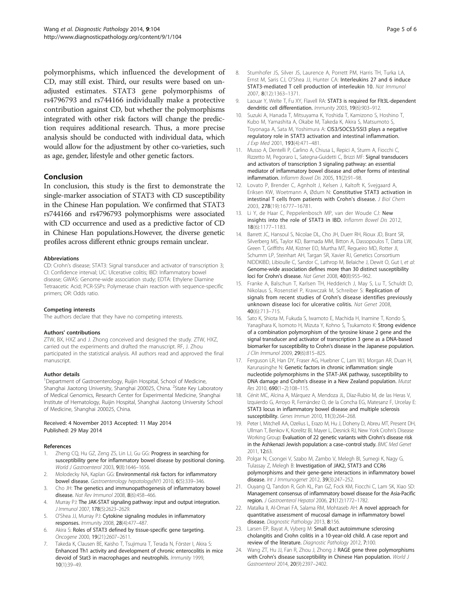<span id="page-4-0"></span>polymorphisms, which influenced the development of CD, may still exist. Third, our results were based on unadjusted estimates. STAT3 gene polymorphisms of rs4796793 and rs744166 individually make a protective contribution against CD, but whether the polymorphisms integrated with other risk factors will change the prediction requires additional research. Thus, a more precise analysis should be conducted with individual data, which would allow for the adjustment by other co-varieties, such as age, gender, lifestyle and other genetic factors.

#### Conclusion

In conclusion, this study is the first to demonstrate the single-marker association of STAT3 with CD susceptibility in the Chinese Han population. We confirmed that STAT3 rs744166 and rs4796793 polymorphisms were associated with CD occurrence and used as a predictive factor of CD in Chinese Han populations.However, the diverse genetic profiles across different ethnic groups remain unclear.

#### Abbreviations

CD: Crohn's disease; STAT3: Signal transducer and activator of transcription 3; CI: Confidence interval; UC: Ulcerative colitis; IBD: Inflammatory bowel disease; GWAS: Genome-wide association study; EDTA: Ethylene Diamine Tetraacetic Acid; PCR-SSPs: Polymerase chain reaction with sequence-specific primers; OR: Odds ratio.

#### Competing interests

The authors declare that they have no competing interests.

#### Authors' contributions

ZTW, BX, HXZ and J. Zhong conceived and designed the study. ZTW, HXZ, carried out the experiments and drafted the manuscript. RF, J. Zhou participated in the statistical analysis. All authors read and approved the final manuscript.

#### Author details

<sup>1</sup>Department of Gastroenterology, Ruijin Hospital, School of Medicine, Shanghai Jiaotong University, Shanghai 200025, China. <sup>2</sup>State Key Laboratory of Medical Genomics, Research Center for Experimental Medicine, Shanghai Institute of Hematology, Ruijin Hospital, Shanghai Jiaotong University School of Medicine, Shanghai 200025, China.

#### Received: 4 November 2013 Accepted: 11 May 2014 Published: 29 May 2014

#### References

- Zheng CQ, Hu GZ, Zeng ZS, Lin LJ, Gu GG: Progress in searching for susceptibility gene for inflammatory bowel disease by positional cloning. World J Gastroenterol 2003, 9(8):1646-1656.
- 2. Molodecky NA, Kaplan GG: Environmental risk factors for inflammatory bowel disease. Gastroenterology hepatology(NY) 2010, 6(5):339–346.
- 3. Cho JH: The genetics and immunopathogenesis of inflammatory bowel disease. Nat Rev Immunol 2008, 8(6):458–466.
- 4. Murray PJ: The JAK-STAT signaling pathway: input and output integration. J Immunol 2007, 178(5):2623–2629.
- 5. O'Shea JJ, Murray PJ: Cytokine signaling modules in inflammatory responses. Immunity 2008, 28(4):477–487.
- 6. Akira S: Roles of STAT3 defined by tissue-specific gene targeting. Oncogene 2000, 19(21):2607–2611.
- Takeda K, Clausen BE, Kaisho T, Tsujimura T, Terada N, Förster I, Akira S: Enhanced Th1 activity and development of chronic enterocolitis in mice devoid of Stat3 in macrophages and neutrophils. Immunity 1999, 10(1):39–49.
- Stumhofer JS, Silver JS, Laurence A, Porrett PM, Harris TH, Turka LA, Ernst M, Saris CJ, O'Shea JJ, Hunter CA: Interleukins 27 and 6 induce STAT3-mediated T cell production of interleukin 10. Nat Immunol 2007, 8(12):1363–1371.
- 9. Laouar Y, Welte T, Fu XY, Flavell RA: STAT3 is required for Flt3L-dependent dendritic cell differentiation. Immunity 2003, 19(6):903–912.
- 10. Suzuki A, Hanada T, Mitsuyama K, Yoshida T, Kamizono S, Hoshino T, Kubo M, Yamashita A, Okabe M, Takeda K, Akira S, Matsumoto S, Toyonaga A, Sata M, Yoshimura A: CIS3/SOCS3/SSI3 plays a negative regulatory role in STAT3 activation and intestinal inflammation. J Exp Med 2001, 193(4):471–481.
- 11. Musso A, Dentelli P, Carlino A, Chiusa L, Repici A, Sturm A, Fiocchi C, Rizzetto M, Pegoraro L, Sategna-Guidetti C, Brizzi MF: Signal transducers and activators of transcription 3 signaling pathway: an essential mediator of inflammatory bowel disease and other forms of intestinal inflammation. Inflamm Bowel Dis 2005, 11(2):91–98.
- 12. Lovato P, Brender C, Agnholt J, Kelsen J, Kaltoft K, Svejgaard A, Eriksen KW, Woetmann A, Ødum N: Constitutive STAT3 activation in intestinal T cells from patients with Crohn's disease. J Biol Chem 2003, 278(19):16777–16781.
- 13. Li Y, de Haar C, Peppelenbosch MP, van der Woude CJ: New insights into the role of STAT3 in IBD. Inflamm Bowel Dis 2012, 18(6):1177–1183.
- 14. Barrett JC, Hansoul S, Nicolae DL, Cho JH, Duerr RH, Rioux JD, Brant SR, Silverberg MS, Taylor KD, Barmada MM, Bitton A, Dassopoulos T, Datta LW, Green T, Griffiths AM, Kistner EO, Murtha MT, Regueiro MD, Rotter JI, Schumm LP, Steinhart AH, Targan SR, Xavier RJ, Genetics Consortium NIDDKIBD, Libioulle C, Sandor C, Lathrop M, Belaiche J, Dewit O, Gut I, et al: Genome-wide association defines more than 30 distinct susceptibility loci for Crohn's disease. Nat Genet 2008, 40(8):955–962.
- 15. Franke A, Balschun T, Karlsen TH, Hedderich J, May S, Lu T, Schuldt D, Nikolaus S, Rosenstiel P, Krawczak M, Schreiber S: Replication of signals from recent studies of Crohn's disease identifies previously unknown disease loci for ulcerative colitis. Nat Genet 2008, 40(6):713–715.
- 16. Sato K, Shiota M, Fukuda S, Iwamoto E, Machida H, Inamine T, Kondo S, Yanagihara K, Isomoto H, Mizuta Y, Kohno S, Tsukamoto K: Strong evidence of a combination polymorphism of the tyrosine kinase 2 gene and the signal transducer and activator of transcription 3 gene as a DNA-based biomarker for susceptibility to Crohn's disease in the Japanese population. J Clin Immunol 2009, 29(6):815–825.
- 17. Ferguson LR, Han DY, Fraser AG, Huebner C, Lam WJ, Morgan AR, Duan H, Karunasinghe N: Genetic factors in chronic inflammation: single nucleotide polymorphisms in the STAT-JAK pathway, susceptibility to DNA damage and Crohn's disease in a New Zealand population. Mutat Res 2010, 690(1–2):108–115.
- 18. Cénit MC, Alcina A, Márquez A, Mendoza JL, Díaz-Rubio M, de las Heras V, Izquierdo G, Arroyo R, Fernández O, de la Concha EG, Matesanz F, Urcelay E: STAT3 locus in inflammatory bowel disease and multiple sclerosis susceptibility. Genes Immun 2010, 11(3):264–268.
- 19. Peter I, Mitchell AA, Ozelius L, Erazo M, Hu J, Doheny D, Abreu MT, Present DH, Ullman T, Benkov K, Korelitz BI, Mayer L, Desnick RJ, New York Crohn's Disease Working Group: Evaluation of 22 genetic variants with Crohn's disease risk in the Ashkenazi Jewish population: a case–control study. BMC Med Genet 2011, 12:63.
- 20. Polgar N, Csongei V, Szabo M, Zambo V, Melegh BI, Sumegi K, Nagy G, Tulassay Z, Melegh B: Investigation of JAK2, STAT3 and CCR6 polymorphisms and their gene-gene interactions in inflammatory bowel disease. Int J Immunogenet 2012, 39(3):247–252.
- 21. Ouyang Q, Tandon R, Goh KL, Pan GZ, Fock KM, Fiocchi C, Lam SK, Xiao SD: Management consensus of inflammatory bowel disease for the Asia-Pacific region. J Gastroenterol Hepatol 2006, 21(12):1772–1782.
- 22. Matalka II, Al-Omari FA, Salama RM, Mohtaseb AH: A novel approach for quantitative assessment of mucosal damage in inflammatory bowel disease. Diagnostic Pathology 2013, 8:156.
- 23. Larsen EP, Bayat A, Vyberg M: Small duct autoimmune sclerosing cholangitis and Crohn colitis in a 10-year-old child. A case report and review of the literature. Diagnostic Pathology 2012, 7:100.
- 24. Wang ZT, Hu JJ, Fan R, Zhou J, Zhong J: RAGE gene three polymorphisms with Crohn's disease susceptibility in Chinese Han population. World J Gastroenterol 2014, 20(9):2397–2402.